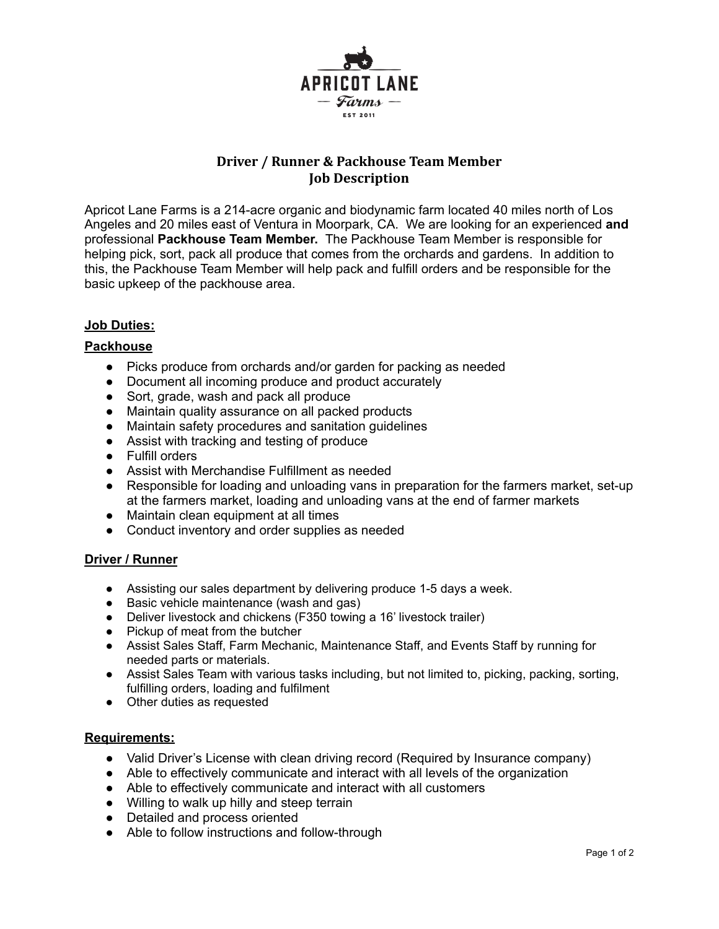

# **Driver / Runner & Packhouse Team Member Job Description**

Apricot Lane Farms is a 214-acre organic and biodynamic farm located 40 miles north of Los Angeles and 20 miles east of Ventura in Moorpark, CA. We are looking for an experienced **and** professional **Packhouse Team Member.** The Packhouse Team Member is responsible for helping pick, sort, pack all produce that comes from the orchards and gardens. In addition to this, the Packhouse Team Member will help pack and fulfill orders and be responsible for the basic upkeep of the packhouse area.

## **Job Duties:**

#### **Packhouse**

- Picks produce from orchards and/or garden for packing as needed
- Document all incoming produce and product accurately
- Sort, grade, wash and pack all produce
- Maintain quality assurance on all packed products
- Maintain safety procedures and sanitation guidelines
- Assist with tracking and testing of produce
- Fulfill orders
- Assist with Merchandise Fulfillment as needed
- Responsible for loading and unloading vans in preparation for the farmers market, set-up at the farmers market, loading and unloading vans at the end of farmer markets
- Maintain clean equipment at all times
- Conduct inventory and order supplies as needed

#### **Driver / Runner**

- Assisting our sales department by delivering produce 1-5 days a week.
- Basic vehicle maintenance (wash and gas)
- Deliver livestock and chickens (F350 towing a 16' livestock trailer)
- Pickup of meat from the butcher
- Assist Sales Staff, Farm Mechanic, Maintenance Staff, and Events Staff by running for needed parts or materials.
- Assist Sales Team with various tasks including, but not limited to, picking, packing, sorting, fulfilling orders, loading and fulfilment
- Other duties as requested

#### **Requirements:**

- Valid Driver's License with clean driving record (Required by Insurance company)
- Able to effectively communicate and interact with all levels of the organization
- Able to effectively communicate and interact with all customers
- Willing to walk up hilly and steep terrain
- Detailed and process oriented
- Able to follow instructions and follow-through